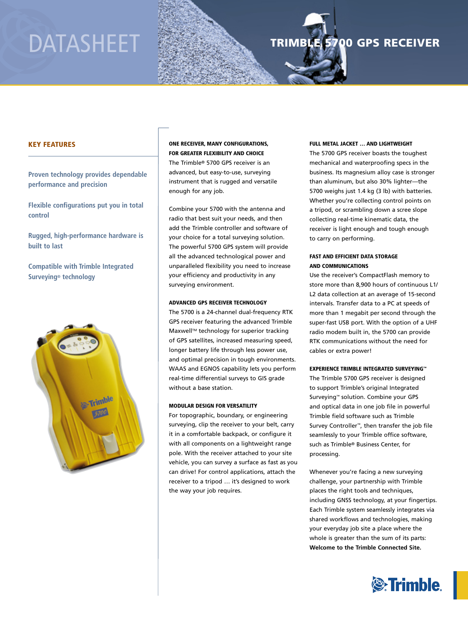# DATASHEET

# TRIMBLE 5700 GPS RECEIVER

# Key Features

**Proven technology provides dependable performance and precision**

**Flexible configurations put you in total control**

**Rugged, high-performance hardware is built to last**

**Compatible with Trimble Integrated Surveying® technology**



One receiver, many configurations, for greater flexibility and choice The Trimble® 5700 GPS receiver is an advanced, but easy-to-use, surveying instrument that is rugged and versatile enough for any job.

Combine your 5700 with the antenna and radio that best suit your needs, and then add the Trimble controller and software of your choice for a total surveying solution. The powerful 5700 GPS system will provide all the advanced technological power and unparalleled flexibility you need to increase your efficiency and productivity in any surveying environment.

#### Advanced GPS receiver technology

The 5700 is a 24-channel dual-frequency RTK GPS receiver featuring the advanced Trimble Maxwell™ technology for superior tracking of GPS satellites, increased measuring speed, longer battery life through less power use, and optimal precision in tough environments. WAAS and EGNOS capability lets you perform real-time differential surveys to GIS grade without a base station.

#### Modular design for versatility

For topographic, boundary, or engineering surveying, clip the receiver to your belt, carry it in a comfortable backpack, or configure it with all components on a lightweight range pole. With the receiver attached to your site vehicle, you can survey a surface as fast as you can drive! For control applications, attach the receiver to a tripod … it's designed to work the way your job requires.

#### Full metal jacket … and lightweight

The 5700 GPS receiver boasts the toughest mechanical and waterproofing specs in the business. Its magnesium alloy case is stronger than aluminum, but also 30% lighter—the 5700 weighs just 1.4 kg (3 lb) with batteries. Whether you're collecting control points on a tripod, or scrambling down a scree slope collecting real-time kinematic data, the receiver is light enough and tough enough to carry on performing.

## Fast and efficient data storage and communications

Use the receiver's CompactFlash memory to store more than 8,900 hours of continuous L1/ L2 data collection at an average of 15-second intervals. Transfer data to a PC at speeds of more than 1 megabit per second through the super-fast USB port. With the option of a UHF radio modem built in, the 5700 can provide RTK communications without the need for cables or extra power!

### EXPERIENCE TRIMBLE INTEGRATED SURVEYING™

The Trimble 5700 GPS receiver is designed to support Trimble's original Integrated Surveying™ solution. Combine your GPS and optical data in one job file in powerful Trimble field software such as Trimble Survey Controller™, then transfer the job file seamlessly to your Trimble office software, such as Trimble® Business Center, for processing.

Whenever you're facing a new surveying challenge, your partnership with Trimble places the right tools and techniques, including GNSS technology, at your fingertips. Each Trimble system seamlessly integrates via shared workflows and technologies, making your everyday job site a place where the whole is greater than the sum of its parts: **Welcome to the Trimble Connected Site.**